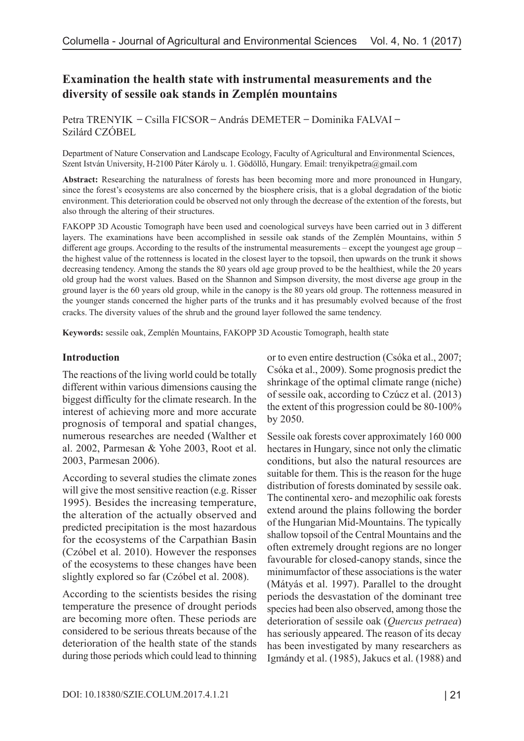# **Examination the health state with instrumental measurements and the diversity of sessile oak stands in Zemplén mountains**

Petra TRENYIK – Csilla FICSOR – András DEMETER – Dominika FALVAI – Szilárd CZÓBEL

Department of Nature Conservation and Landscape Ecology, Faculty of Agricultural and Environmental Sciences, Szent István University, H-2100 Páter Károly u. 1. Gödöllő, Hungary. Email: [trenyikpetra@gmail.com](mailto:trenyikpetra@gmail.com)

**Abstract:** Researching the naturalness of forests has been becoming more and more pronounced in Hungary, since the forest's ecosystems are also concerned by the biosphere crisis, that is a global degradation of the biotic environment. This deterioration could be observed not only through the decrease of the extention of the forests, but also through the altering of their structures.

FAKOPP 3D Acoustic Tomograph have been used and coenological surveys have been carried out in 3 different layers. The examinations have been accomplished in sessile oak stands of the Zemplén Mountains, within 5 different age groups. According to the results of the instrumental measurements – except the youngest age group – the highest value of the rottenness is located in the closest layer to the topsoil, then upwards on the trunk it shows decreasing tendency. Among the stands the 80 years old age group proved to be the healthiest, while the 20 years old group had the worst values. Based on the Shannon and Simpson diversity, the most diverse age group in the ground layer is the 60 years old group, while in the canopy is the 80 years old group. The rottenness measured in the younger stands concerned the higher parts of the trunks and it has presumably evolved because of the frost cracks. The diversity values of the shrub and the ground layer followed the same tendency.

**Keywords:** sessile oak, Zemplén Mountains, FAKOPP 3D Acoustic Tomograph, health state

#### **Introduction**

The reactions of the living world could be totally different within various dimensions causing the biggest difficulty for the climate research. In the interest of achieving more and more accurate prognosis of temporal and spatial changes, numerous researches are needed (Walther et al. 2002, Parmesan & Yohe 2003, Root et al. 2003, Parmesan 2006).

According to several studies the climate zones will give the most sensitive reaction (e.g. Risser 1995). Besides the increasing temperature, the alteration of the actually observed and predicted precipitation is the most hazardous for the ecosystems of the Carpathian Basin (Czóbel et al. 2010). However the responses of the ecosystems to these changes have been slightly explored so far (Czóbel et al. 2008).

According to the scientists besides the rising temperature the presence of drought periods are becoming more often. These periods are considered to be serious threats because of the deterioration of the health state of the stands during those periods which could lead to thinning or to even entire destruction (Csóka et al., 2007; Csóka et al., 2009). Some prognosis predict the shrinkage of the optimal climate range (niche) of sessile oak, according to Czúcz et al. (2013) the extent of this progression could be 80-100% by 2050.

Sessile oak forests cover approximately 160 000 hectares in Hungary, since not only the climatic conditions, but also the natural resources are suitable for them. This is the reason for the huge distribution of forests dominated by sessile oak. The continental xero- and mezophilic oak forests extend around the plains following the border of the Hungarian Mid-Mountains. The typically shallow topsoil of the Central Mountains and the often extremely drought regions are no longer favourable for closed-canopy stands, since the minimumfactor of these associations is the water (Mátyás et al. 1997). Parallel to the drought periods the desvastation of the dominant tree species had been also observed, among those the deterioration of sessile oak (*Quercus petraea*) has seriously appeared. The reason of its decay has been investigated by many researchers as Igmándy et al. (1985), Jakucs et al. (1988) and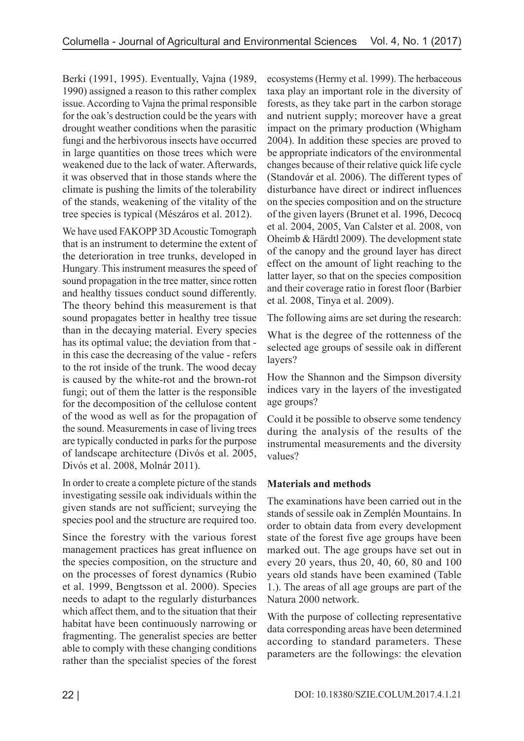Berki (1991, 1995). Eventually, Vajna (1989, 1990) assigned a reason to this rather complex issue. According to Vajna the primal responsible for the oak's destruction could be the years with drought weather conditions when the parasitic fungi and the herbivorous insects have occurred in large quantities on those trees which were weakened due to the lack of water. Afterwards, it was observed that in those stands where the climate is pushing the limits of the tolerability of the stands, weakening of the vitality of the tree species is typical (Mészáros et al. 2012).

We have used FAKOPP 3D Acoustic Tomograph that is an instrument to determine the extent of the deterioration in tree trunks, developed in Hungary. This instrument measures the speed of sound propagation in the tree matter, since rotten and healthy tissues conduct sound differently. The theory behind this measurement is that sound propagates better in healthy tree tissue than in the decaying material. Every species has its optimal value; the deviation from that in this case the decreasing of the value - refers to the rot inside of the trunk. The wood decay is caused by the white-rot and the brown-rot fungi; out of them the latter is the responsible for the decomposition of the cellulose content of the wood as well as for the propagation of the sound. Measurements in case of living trees are typically conducted in parks for the purpose of landscape architecture (Divós et al. 2005, Divós et al. 2008, Molnár 2011).

In order to create a complete picture of the stands investigating sessile oak individuals within the given stands are not sufficient; surveying the species pool and the structure are required too.

Since the forestry with the various forest management practices has great influence on the species composition, on the structure and on the processes of forest dynamics (Rubio et al. 1999, Bengtsson et al. 2000). Species needs to adapt to the regularly disturbances which affect them, and to the situation that their habitat have been continuously narrowing or fragmenting. The generalist species are better able to comply with these changing conditions rather than the specialist species of the forest ecosystems (Hermy et al. 1999). The herbaceous taxa play an important role in the diversity of forests, as they take part in the carbon storage and nutrient supply; moreover have a great impact on the primary production (Whigham 2004). In addition these species are proved to be appropriate indicators of the environmental changes because of their relative quick life cycle (Standovár et al. 2006). The different types of disturbance have direct or indirect influences on the species composition and on the structure of the given layers (Brunet et al. 1996, Decocq et al. 2004, 2005, Van Calster et al. 2008, von Oheimb & Härdtl 2009). The development state of the canopy and the ground layer has direct effect on the amount of light reaching to the latter layer, so that on the species composition and their coverage ratio in forest floor (Barbier et al. 2008, Tinya et al. 2009).

The following aims are set during the research:

What is the degree of the rottenness of the selected age groups of sessile oak in different layers?

How the Shannon and the Simpson diversity indices vary in the layers of the investigated age groups?

Could it be possible to observe some tendency during the analysis of the results of the instrumental measurements and the diversity values?

# **Materials and methods**

The examinations have been carried out in the stands of sessile oak in Zemplén Mountains. In order to obtain data from every development state of the forest five age groups have been marked out. The age groups have set out in every 20 years, thus 20, 40, 60, 80 and 100 years old stands have been examined (Table 1.). The areas of all age groups are part of the Natura 2000 network.

With the purpose of collecting representative data corresponding areas have been determined according to standard parameters. These parameters are the followings: the elevation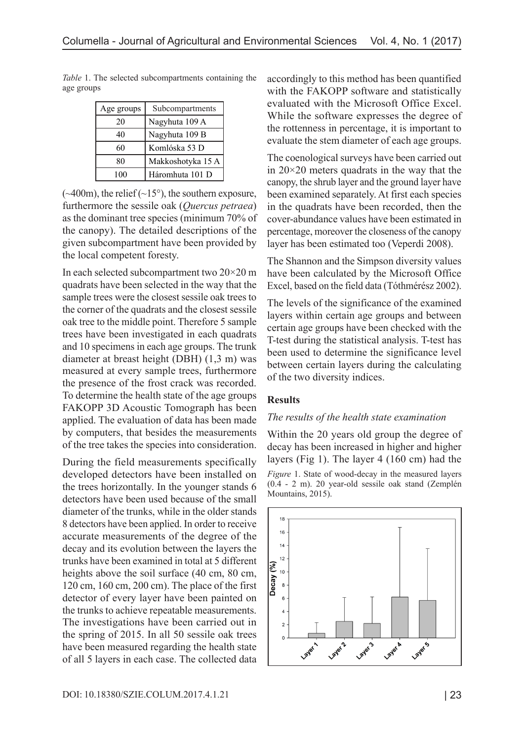| Age groups | Subcompartments   |
|------------|-------------------|
| 20         | Nagyhuta 109 A    |
| 40         | Nagyhuta 109 B    |
| 60         | Komlóska 53 D     |
| 80         | Makkoshotyka 15 A |
| 100        | Háromhuta 101 D   |

*Table* 1. The selected subcompartments containing the age groups

 $(\sim 400 \text{m})$ , the relief  $(\sim 15^{\circ})$ , the southern exposure, furthermore the sessile oak (*Quercus petraea*) as the dominant tree species (minimum 70% of the canopy). The detailed descriptions of the given subcompartment have been provided by the local competent foresty.

In each selected subcompartment two 20×20 m quadrats have been selected in the way that the sample trees were the closest sessile oak trees to the corner of the quadrats and the closest sessile oak tree to the middle point. Therefore 5 sample trees have been investigated in each quadrats and 10 specimens in each age groups. The trunk diameter at breast height (DBH) (1,3 m) was measured at every sample trees, furthermore the presence of the frost crack was recorded. To determine the health state of the age groups FAKOPP 3D Acoustic Tomograph has been applied. The evaluation of data has been made by computers, that besides the measurements of the tree takes the species into consideration.

During the field measurements specifically developed detectors have been installed on the trees horizontally. In the younger stands 6 detectors have been used because of the small diameter of the trunks, while in the older stands 8 detectors have been applied. In order to receive accurate measurements of the degree of the decay and its evolution between the layers the trunks have been examined in total at 5 different heights above the soil surface (40 cm, 80 cm, 120 cm, 160 cm, 200 cm). The place of the first detector of every layer have been painted on the trunks to achieve repeatable measurements. The investigations have been carried out in the spring of 2015. In all 50 sessile oak trees have been measured regarding the health state of all 5 layers in each case. The collected data accordingly to this method has been quantified with the FAKOPP software and statistically evaluated with the Microsoft Office Excel. While the software expresses the degree of the rottenness in percentage, it is important to evaluate the stem diameter of each age groups.

The coenological surveys have been carried out in 20×20 meters quadrats in the way that the canopy, the shrub layer and the ground layer have been examined separately. At first each species in the quadrats have been recorded, then the cover-abundance values have been estimated in percentage, moreover the closeness of the canopy layer has been estimated too (Veperdi 2008).

The Shannon and the Simpson diversity values have been calculated by the Microsoft Office Excel, based on the field data (Tóthmérész 2002).

The levels of the significance of the examined layers within certain age groups and between certain age groups have been checked with the T-test during the statistical analysis. T-test has been used to determine the significance level between certain layers during the calculating of the two diversity indices.

### **Results**

### *The results of the health state examination*

Within the 20 years old group the degree of decay has been increased in higher and higher layers (Fig 1). The layer 4 (160 cm) had the *Figure* 1. State of wood-decay in the measured layers

(0.4 - 2 m). 20 year-old sessile oak stand (Zemplén Mountains, 2015).

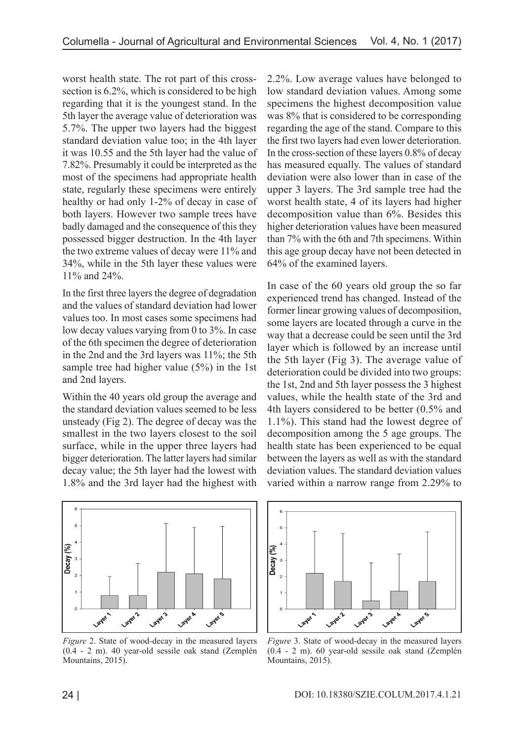worst health state. The rot part of this crosssection is 6.2%, which is considered to be high regarding that it is the youngest stand. In the 5th layer the average value of deterioration was 5.7%. The upper two layers had the biggest standard deviation value too; in the 4th layer it was 10.55 and the 5th layer had the value of 7.82%. Presumably it could be interpreted as the most of the specimens had appropriate health state, regularly these specimens were entirely healthy or had only 1-2% of decay in case of both layers. However two sample trees have badly damaged and the consequence of this they possessed bigger destruction. In the 4th layer the two extreme values of decay were 11% and 34%, while in the 5th layer these values were 11% and 24%.

In the first three layers the degree of degradation and the values of standard deviation had lower values too. In most cases some specimens had low decay values varying from 0 to 3%. In case of the 6th specimen the degree of deterioration in the 2nd and the 3rd layers was 11%; the 5th sample tree had higher value (5%) in the 1st and 2nd layers.

Within the 40 years old group the average and the standard deviation values seemed to be less unsteady (Fig 2). The degree of decay was the smallest in the two layers closest to the soil surface, while in the upper three layers had bigger deterioration. The latter layers had similar decay value; the 5th layer had the lowest with 1.8% and the 3rd layer had the highest with 2.2%. Low average values have belonged to low standard deviation values. Among some specimens the highest decomposition value was 8% that is considered to be corresponding regarding the age of the stand. Compare to this the first two layers had even lower deterioration. In the cross-section of these layers 0.8% of decay has measured equally. The values of standard deviation were also lower than in case of the upper 3 layers. The 3rd sample tree had the worst health state, 4 of its layers had higher decomposition value than 6%. Besides this higher deterioration values have been measured than 7% with the 6th and 7th specimens. Within this age group decay have not been detected in 64% of the examined layers.

In case of the 60 years old group the so far experienced trend has changed. Instead of the former linear growing values of decomposition, some layers are located through a curve in the way that a decrease could be seen until the 3rd layer which is followed by an increase until the 5th layer (Fig 3). The average value of deterioration could be divided into two groups: the 1st, 2nd and 5th layer possess the 3 highest values, while the health state of the 3rd and 4th layers considered to be better (0.5% and 1.1%). This stand had the lowest degree of decomposition among the 5 age groups. The health state has been experienced to be equal between the layers as well as with the standard deviation values. The standard deviation values varied within a narrow range from 2.29% to



*Figure* 2. State of wood-decay in the measured layers (0.4 - 2 m). 40 year-old sessile oak stand (Zemplén Mountains, 2015).



*Figure* 3. State of wood-decay in the measured layers (0.4 - 2 m). 60 year-old sessile oak stand (Zemplén Mountains, 2015).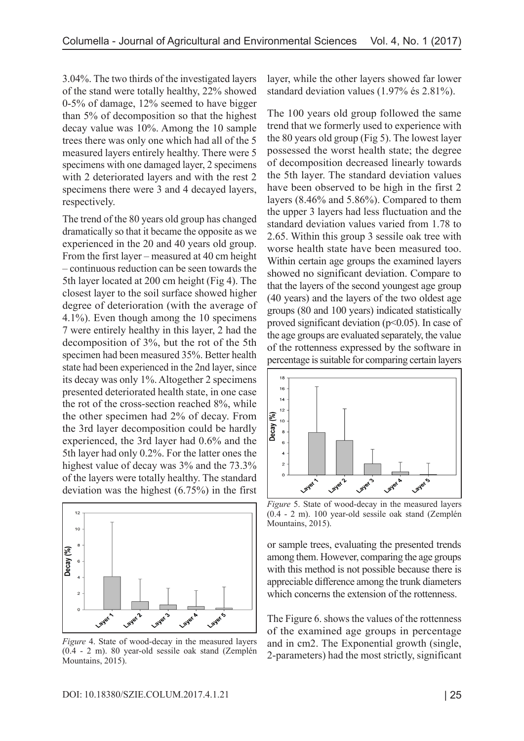3.04%. The two thirds of the investigated layers of the stand were totally healthy, 22% showed 0-5% of damage, 12% seemed to have bigger than 5% of decomposition so that the highest decay value was 10%. Among the 10 sample trees there was only one which had all of the 5 measured layers entirely healthy. There were 5 specimens with one damaged layer, 2 specimens with 2 deteriorated layers and with the rest 2 specimens there were 3 and 4 decayed layers, respectively.

The trend of the 80 years old group has changed dramatically so that it became the opposite as we experienced in the 20 and 40 years old group. From the first layer – measured at 40 cm height – continuous reduction can be seen towards the 5th layer located at 200 cm height (Fig 4). The closest layer to the soil surface showed higher degree of deterioration (with the average of 4.1%). Even though among the 10 specimens 7 were entirely healthy in this layer, 2 had the decomposition of 3%, but the rot of the 5th specimen had been measured 35%. Better health state had been experienced in the 2nd layer, since its decay was only 1%. Altogether 2 specimens presented deteriorated health state, in one case the rot of the cross-section reached 8%, while the other specimen had 2% of decay. From the 3rd layer decomposition could be hardly experienced, the 3rd layer had 0.6% and the 5th layer had only 0.2%. For the latter ones the highest value of decay was 3% and the 73.3% of the layers were totally healthy. The standard deviation was the highest (6.75%) in the first



*Figure* 4. State of wood-decay in the measured layers (0.4 - 2 m). 80 year-old sessile oak stand (Zemplén Mountains, 2015).

layer, while the other layers showed far lower standard deviation values (1.97% és 2.81%).

The 100 years old group followed the same trend that we formerly used to experience with the 80 years old group (Fig 5). The lowest layer possessed the worst health state; the degree of decomposition decreased linearly towards the 5th layer. The standard deviation values have been observed to be high in the first 2 layers (8.46% and 5.86%). Compared to them the upper 3 layers had less fluctuation and the standard deviation values varied from 1.78 to 2.65. Within this group 3 sessile oak tree with worse health state have been measured too. Within certain age groups the examined layers showed no significant deviation. Compare to that the layers of the second youngest age group (40 years) and the layers of the two oldest age groups (80 and 100 years) indicated statistically proved significant deviation  $(p<0.05)$ . In case of the age groups are evaluated separately, the value of the rottenness expressed by the software in percentage is suitable for comparing certain layers

![](_page_4_Figure_7.jpeg)

*Figure* 5. State of wood-decay in the measured layers (0.4 - 2 m). 100 year-old sessile oak stand (Zemplén Mountains, 2015).

or sample trees, evaluating the presented trends among them. However, comparing the age groups with this method is not possible because there is appreciable difference among the trunk diameters which concerns the extension of the rottenness.

The Figure 6. shows the values of the rottenness of the examined age groups in percentage and in cm2. The Exponential growth (single, 2-parameters) had the most strictly, significant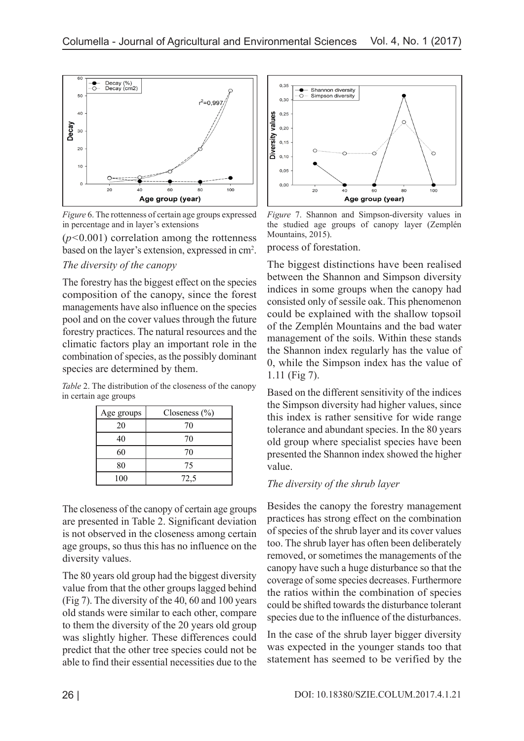![](_page_5_Figure_1.jpeg)

*Figure* 6. The rottenness of certain age groups expressed in percentage and in layer's extensions

(*p<*0.001) correlation among the rottenness based on the layer's extension, expressed in cm<sup>2</sup>.

## *The diversity of the canopy*

The forestry has the biggest effect on the species composition of the canopy, since the forest managements have also influence on the species pool and on the cover values through the future forestry practices. The natural resources and the climatic factors play an important role in the combination of species, as the possibly dominant species are determined by them.

*Table* 2. The distribution of the closeness of the canopy in certain age groups

| Age groups | Closeness $(\% )$ |
|------------|-------------------|
| 20         | 70                |
| 40         | 70                |
| 60         | 70                |
| 80         | 75                |
| 100        | 72,5              |

The closeness of the canopy of certain age groups are presented in Table 2. Significant deviation is not observed in the closeness among certain age groups, so thus this has no influence on the diversity values.

The 80 years old group had the biggest diversity value from that the other groups lagged behind (Fig 7). The diversity of the 40, 60 and 100 years old stands were similar to each other, compare to them the diversity of the 20 years old group was slightly higher. These differences could predict that the other tree species could not be able to find their essential necessities due to the

![](_page_5_Figure_10.jpeg)

*Figure* 7. Shannon and Simpson-diversity values in the studied age groups of canopy layer (Zemplén Mountains, 2015).

process of forestation.

The biggest distinctions have been realised between the Shannon and Simpson diversity indices in some groups when the canopy had consisted only of sessile oak. This phenomenon could be explained with the shallow topsoil of the Zemplén Mountains and the bad water management of the soils. Within these stands the Shannon index regularly has the value of 0, while the Simpson index has the value of 1.11 (Fig 7).

Based on the different sensitivity of the indices the Simpson diversity had higher values, since this index is rather sensitive for wide range tolerance and abundant species. In the 80 years old group where specialist species have been presented the Shannon index showed the higher value.

## *The diversity of the shrub layer*

Besides the canopy the forestry management practices has strong effect on the combination of species of the shrub layer and its cover values too. The shrub layer has often been deliberately removed, or sometimes the managements of the canopy have such a huge disturbance so that the coverage of some species decreases. Furthermore the ratios within the combination of species could be shifted towards the disturbance tolerant species due to the influence of the disturbances.

In the case of the shrub layer bigger diversity was expected in the younger stands too that statement has seemed to be verified by the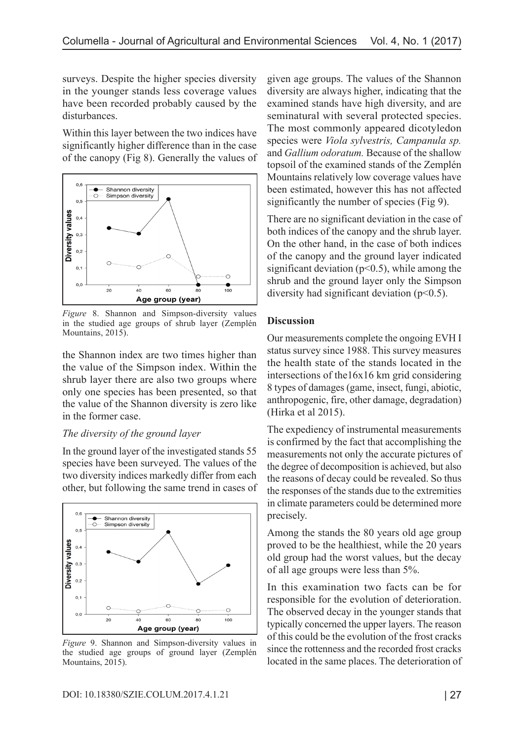surveys. Despite the higher species diversity in the younger stands less coverage values have been recorded probably caused by the disturbances.

Within this layer between the two indices have significantly higher difference than in the case of the canopy (Fig 8). Generally the values of

![](_page_6_Figure_3.jpeg)

*Figure* 8. Shannon and Simpson-diversity values in the studied age groups of shrub layer (Zemplén Mountains, 2015).

the Shannon index are two times higher than the value of the Simpson index. Within the shrub layer there are also two groups where only one species has been presented, so that the value of the Shannon diversity is zero like in the former case.

## *The diversity of the ground layer*

In the ground layer of the investigated stands 55 species have been surveyed. The values of the two diversity indices markedly differ from each other, but following the same trend in cases of

![](_page_6_Figure_8.jpeg)

*Figure* 9. Shannon and Simpson-diversity values in the studied age groups of ground layer (Zemplén Mountains, 2015).

given age groups. The values of the Shannon diversity are always higher, indicating that the examined stands have high diversity, and are seminatural with several protected species. The most commonly appeared dicotyledon species were *Viola sylvestris, Campanula sp.*  and *Gallium odoratum.* Because of the shallow topsoil of the examined stands of the Zemplén Mountains relatively low coverage values have been estimated, however this has not affected significantly the number of species (Fig 9).

There are no significant deviation in the case of both indices of the canopy and the shrub layer. On the other hand, in the case of both indices of the canopy and the ground layer indicated significant deviation ( $p<0.5$ ), while among the shrub and the ground layer only the Simpson diversity had significant deviation ( $p<0.5$ ).

## **Discussion**

Our measurements complete the ongoing EVH I status survey since 1988. This survey measures the health state of the stands located in the intersections of the16x16 km grid considering 8 types of damages (game, insect, fungi, abiotic, anthropogenic, fire, other damage, degradation) (Hirka et al 2015).

The expediency of instrumental measurements is confirmed by the fact that accomplishing the measurements not only the accurate pictures of the degree of decomposition is achieved, but also the reasons of decay could be revealed. So thus the responses of the stands due to the extremities in climate parameters could be determined more precisely.

Among the stands the 80 years old age group proved to be the healthiest, while the 20 years old group had the worst values, but the decay of all age groups were less than 5%.

In this examination two facts can be for responsible for the evolution of deterioration. The observed decay in the younger stands that typically concerned the upper layers. The reason of this could be the evolution of the frost cracks since the rottenness and the recorded frost cracks located in the same places. The deterioration of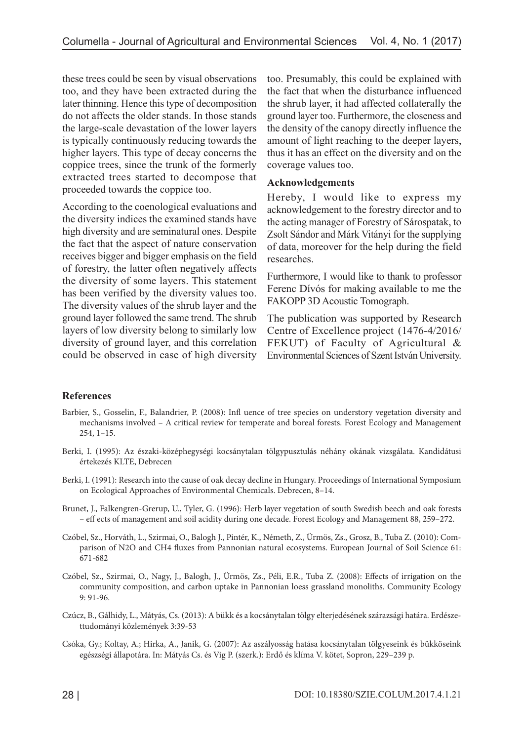these trees could be seen by visual observations too, and they have been extracted during the later thinning. Hence this type of decomposition do not affects the older stands. In those stands the large-scale devastation of the lower layers is typically continuously reducing towards the higher layers. This type of decay concerns the coppice trees, since the trunk of the formerly extracted trees started to decompose that proceeded towards the coppice too.

According to the coenological evaluations and the diversity indices the examined stands have high diversity and are seminatural ones. Despite the fact that the aspect of nature conservation receives bigger and bigger emphasis on the field of forestry, the latter often negatively affects the diversity of some layers. This statement has been verified by the diversity values too. The diversity values of the shrub layer and the ground layer followed the same trend. The shrub layers of low diversity belong to similarly low diversity of ground layer, and this correlation could be observed in case of high diversity too. Presumably, this could be explained with the fact that when the disturbance influenced the shrub layer, it had affected collaterally the ground layer too. Furthermore, the closeness and the density of the canopy directly influence the amount of light reaching to the deeper layers, thus it has an effect on the diversity and on the coverage values too.

### **Acknowledgements**

Hereby, I would like to express my acknowledgement to the forestry director and to the acting manager of Forestry of Sárospatak, to Zsolt Sándor and Márk Vitányi for the supplying of data, moreover for the help during the field researches.

Furthermore, I would like to thank to professor Ferenc Dívós for making available to me the FAKOPP 3D Acoustic Tomograph.

The publication was supported by Research Centre of Excellence project (1476-4/2016/ FEKUT) of Faculty of Agricultural & Environmental Sciences of Szent István University.

### **References**

- Barbier, S., Gosselin, F., Balandrier, P. (2008): Infl uence of tree species on understory vegetation diversity and mechanisms involved – A critical review for temperate and boreal forests. Forest Ecology and Management 254, 1–15.
- Berki, I. (1995): Az északi-középhegységi kocsánytalan tölgypusztulás néhány okának vizsgálata. Kandidátusi értekezés KLTE, Debrecen
- Berki, I. (1991): Research into the cause of oak decay decline in Hungary. Proceedings of International Symposium on Ecological Approaches of Environmental Chemicals. Debrecen, 8–14.
- Brunet, J., Falkengren-Grerup, U., Tyler, G. (1996): Herb layer vegetation of south Swedish beech and oak forests – eff ects of management and soil acidity during one decade. Forest Ecology and Management 88, 259–272.
- Czóbel, Sz., Horváth, L., Szirmai, O., Balogh J., Pintér, K., Németh, Z., Ürmös, Zs., Grosz, B., Tuba Z. (2010): Comparison of N2O and CH4 fluxes from Pannonian natural ecosystems. European Journal of Soil Science 61: 671-682
- Czóbel, Sz., Szirmai, O., Nagy, J., Balogh, J., Ürmös, Zs., Péli, E.R., Tuba Z. (2008): Effects of irrigation on the community composition, and carbon uptake in Pannonian loess grassland monoliths. Community Ecology 9: 91-96.
- Czúcz, B., Gálhidy, L., Mátyás, Cs. (2013): A bükk és a kocsánytalan tölgy elterjedésének szárazsági határa. Erdészettudományi közlemények 3:39-53
- Csóka, Gy.; Koltay, A.; Hirka, A., Janik, G. (2007): Az aszályosság hatása kocsánytalan tölgyeseink és bükköseink egészségi állapotára. In: Mátyás Cs. és Vig P. (szerk.): Erdő és klíma V. kötet, Sopron, 229–239 p.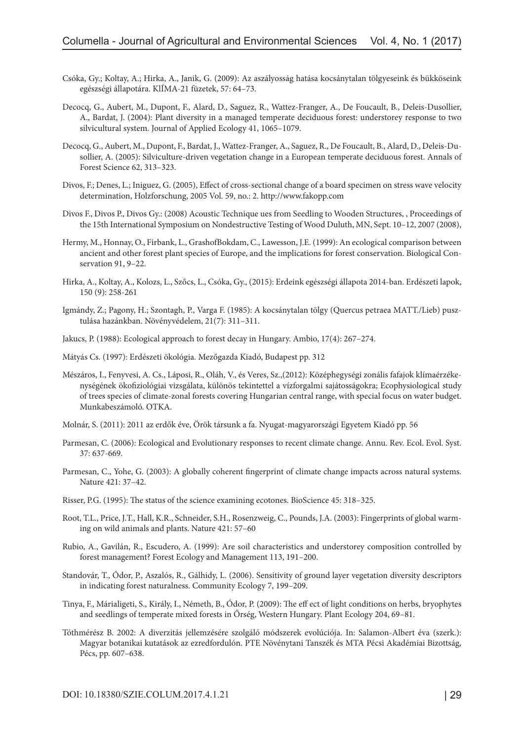- Csóka, Gy.; Koltay, A.; Hirka, A., Janik, G. (2009): Az aszályosság hatása kocsánytalan tölgyeseink és bükköseink egészségi állapotára. KlÍMA-21 füzetek, 57: 64–73.
- Decocq, G., Aubert, M., Dupont, F., Alard, D., Saguez, R., Wattez-Franger, A., De Foucault, B., Deleis-Dusollier, A., Bardat, J. (2004): Plant diversity in a managed temperate deciduous forest: understorey response to two silvicultural system. Journal of Applied Ecology 41, 1065–1079.
- Decocq, G., Aubert, M., Dupont, F., Bardat, J., Wattez-Franger, A., Saguez, R., De Foucault, B., Alard, D., Deleis-Dusollier, A. (2005): Silviculture-driven vegetation change in a European temperate deciduous forest. Annals of Forest Science 62, 313–323.
- Divos, F.; Denes, L.; Iniguez, G. (2005), Effect of cross-sectional change of a board specimen on stress wave velocity determination, Holzforschung, 2005 Vol. 59, no.: 2. http://www.fakopp.com
- Divos F., Divos P., Divos Gy.: (2008) Acoustic Technique ues from Seedling to Wooden Structures, , Proceedings of the 15th International Symposium on Nondestructive Testing of Wood Duluth, MN, Sept. 10–12, 2007 (2008),
- Hermy, M., Honnay, O., Firbank, L., GrashofBokdam, C., Lawesson, J.E. (1999): An ecological comparison between ancient and other forest plant species of Europe, and the implications for forest conservation. Biological Conservation 91, 9–22.
- Hirka, A., Koltay, A., Kolozs, L., Szőcs, L., Csóka, Gy., (2015): Erdeink egészségi állapota 2014-ban. Erdészeti lapok, 150 (9): 258-261
- Igmándy, Z.; Pagony, H.; Szontagh, P., Varga F. (1985): A kocsánytalan tölgy (Quercus petraea MATT./Lieb) pusztulása hazánkban. Növényvédelem, 21(7): 311–311.
- Jakucs, P. (1988): Ecological approach to forest decay in Hungary. Ambio, 17(4): 267–274.
- Mátyás Cs. (1997): Erdészeti ökológia. Mezőgazda Kiadó, Budapest pp. 312
- Mészáros, I., Fenyvesi, A. Cs., Láposi, R., Oláh, V., és Veres, Sz.,(2012): Középhegységi zonális fafajok klímaérzékenységének ökofiziológiai vizsgálata, különös tekintettel a vízforgalmi sajátosságokra; Ecophysiological study of trees species of climate-zonal forests covering Hungarian central range, with special focus on water budget. Munkabeszámoló. OTKA.
- Molnár, S. (2011): 2011 az erdők éve, Örök társunk a fa. Nyugat-magyarországi Egyetem Kiadó pp. 56
- Parmesan, C. (2006): Ecological and Evolutionary responses to recent climate change. Annu. Rev. Ecol. Evol. Syst. 37: 637-669.
- Parmesan, C., Yohe, G. (2003): A globally coherent fingerprint of climate change impacts across natural systems. Nature 421: 37–42.
- Risser, P.G. (1995): The status of the science examining ecotones. BioScience 45: 318–325.
- Root, T.L., Price, J.T., Hall, K.R., Schneider, S.H., Rosenzweig, C., Pounds, J.A. (2003): Fingerprints of global warming on wild animals and plants. Nature 421: 57–60
- Rubio, A., Gavilán, R., Escudero, A. (1999): Are soil characteristics and understorey composition controlled by forest management? Forest Ecology and Management 113, 191–200.
- Standovár, T., Ódor, P., Aszalós, R., Gálhidy, L. (2006). Sensitivity of ground layer vegetation diversity descriptors in indicating forest naturalness. Community Ecology 7, 199–209.
- Tinya, F., Márialigeti, S., Király, I., Németh, B., Ódor, P. (2009): The eff ect of light conditions on herbs, bryophytes and seedlings of temperate mixed forests in Őrség, Western Hungary. Plant Ecology 204, 69–81.
- Tóthmérész B. 2002: A diverzitás jellemzésére szolgáló módszerek evolúciója. In: Salamon-Albert éva (szerk.): Magyar botanikai kutatások az ezredfordulón. PTE Növénytani Tanszék és MTA Pécsi Akadémiai Bizottság, Pécs, pp. 607–638.